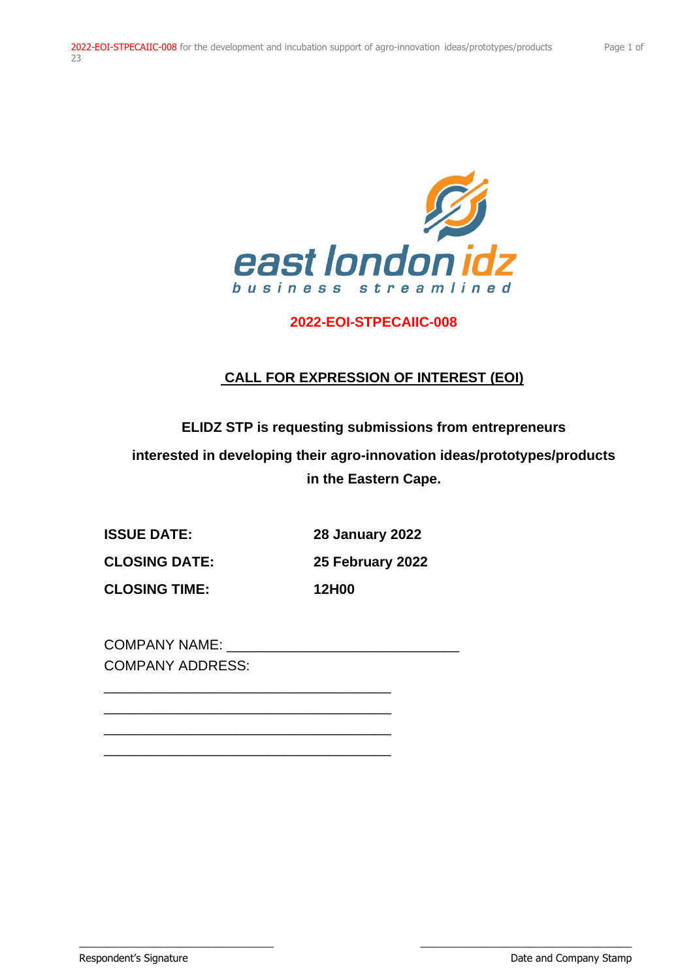

## **2022-EOI-STPECAIIC-008**

# **CALL FOR EXPRESSION OF INTEREST (EOI)**

**ELIDZ STP is requesting submissions from entrepreneurs**

**interested in developing their agro-innovation ideas/prototypes/products in the Eastern Cape.**

**ISSUE DATE: 28 January 2022**

**CLOSING DATE: 25 February 2022**

**CLOSING TIME: 12H00**

\_\_\_\_\_\_\_\_\_\_\_\_\_\_\_\_\_\_\_\_\_\_\_\_\_\_\_\_\_\_\_\_\_\_ \_\_\_\_\_\_\_\_\_\_\_\_\_\_\_\_\_\_\_\_\_\_\_\_\_\_\_\_\_\_\_\_\_\_\_\_\_

COMPANY NAME: COMPANY ADDRESS:

\_\_\_\_\_\_\_\_\_\_\_\_\_\_\_\_\_\_\_\_\_\_\_\_\_\_\_\_\_\_\_\_\_\_\_\_\_ \_\_\_\_\_\_\_\_\_\_\_\_\_\_\_\_\_\_\_\_\_\_\_\_\_\_\_\_\_\_\_\_\_\_\_\_\_ \_\_\_\_\_\_\_\_\_\_\_\_\_\_\_\_\_\_\_\_\_\_\_\_\_\_\_\_\_\_\_\_\_\_\_\_\_ \_\_\_\_\_\_\_\_\_\_\_\_\_\_\_\_\_\_\_\_\_\_\_\_\_\_\_\_\_\_\_\_\_\_\_\_\_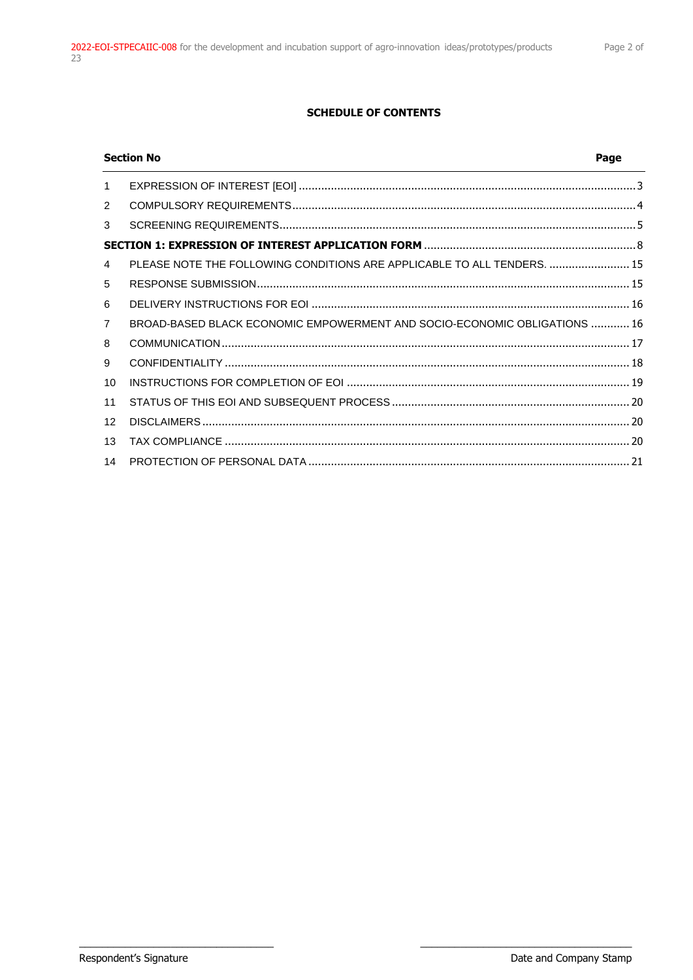### **SCHEDULE OF CONTENTS**

|                 | <b>Section No</b>                                                         | Page |
|-----------------|---------------------------------------------------------------------------|------|
| $\mathbf{1}$    |                                                                           |      |
| 2               |                                                                           |      |
| 3               |                                                                           |      |
|                 |                                                                           |      |
| $\overline{4}$  | PLEASE NOTE THE FOLLOWING CONDITIONS ARE APPLICABLE TO ALL TENDERS.  15   |      |
| 5               |                                                                           |      |
| 6               |                                                                           |      |
| $\overline{7}$  | BROAD-BASED BLACK ECONOMIC EMPOWERMENT AND SOCIO-ECONOMIC OBLIGATIONS  16 |      |
| 8               |                                                                           |      |
| 9               |                                                                           |      |
| 10 <sup>1</sup> |                                                                           |      |
| 11              |                                                                           |      |
| 12 <sup>2</sup> |                                                                           |      |
| 13              |                                                                           |      |
| 14              |                                                                           |      |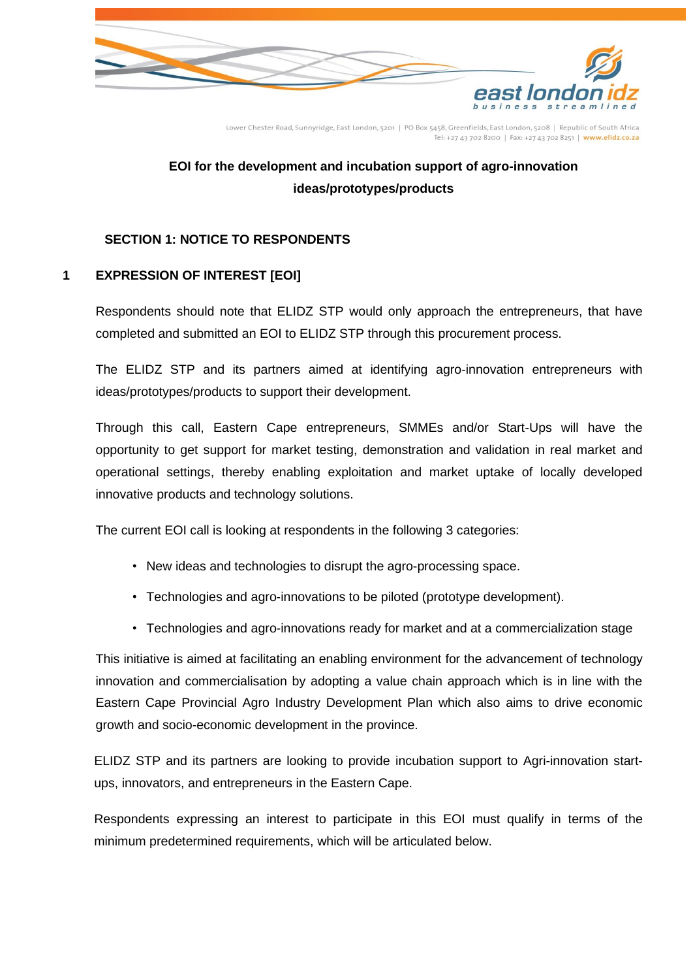

Lower Chester Road, Sunnyridge, East London, 5201 | PO Box 5458, Greenfields, East London, 5208 | Republic of South Africa Tel: +27 43 702 8200 | Fax: +27 43 702 8251 | www.elidz.co.za

# **EOI for the development and incubation support of agro-innovation ideas/prototypes/products**

## **SECTION 1: NOTICE TO RESPONDENTS**

## <span id="page-2-0"></span>**1 EXPRESSION OF INTEREST [EOI]**

Respondents should note that ELIDZ STP would only approach the entrepreneurs, that have completed and submitted an EOI to ELIDZ STP through this procurement process.

The ELIDZ STP and its partners aimed at identifying agro-innovation entrepreneurs with ideas/prototypes/products to support their development.

Through this call, Eastern Cape entrepreneurs, SMMEs and/or Start-Ups will have the opportunity to get support for market testing, demonstration and validation in real market and operational settings, thereby enabling exploitation and market uptake of locally developed innovative products and technology solutions.

The current EOI call is looking at respondents in the following 3 categories:

- New ideas and technologies to disrupt the agro-processing space.
- Technologies and agro-innovations to be piloted (prototype development).
- Technologies and agro-innovations ready for market and at a commercialization stage

This initiative is aimed at facilitating an enabling environment for the advancement of technology innovation and commercialisation by adopting a value chain approach which is in line with the Eastern Cape Provincial Agro Industry Development Plan which also aims to drive economic growth and socio-economic development in the province.

ELIDZ STP and its partners are looking to provide incubation support to Agri-innovation startups, innovators, and entrepreneurs in the Eastern Cape.

Respondents expressing an interest to participate in this EOI must qualify in terms of the minimum predetermined requirements, which will be articulated below.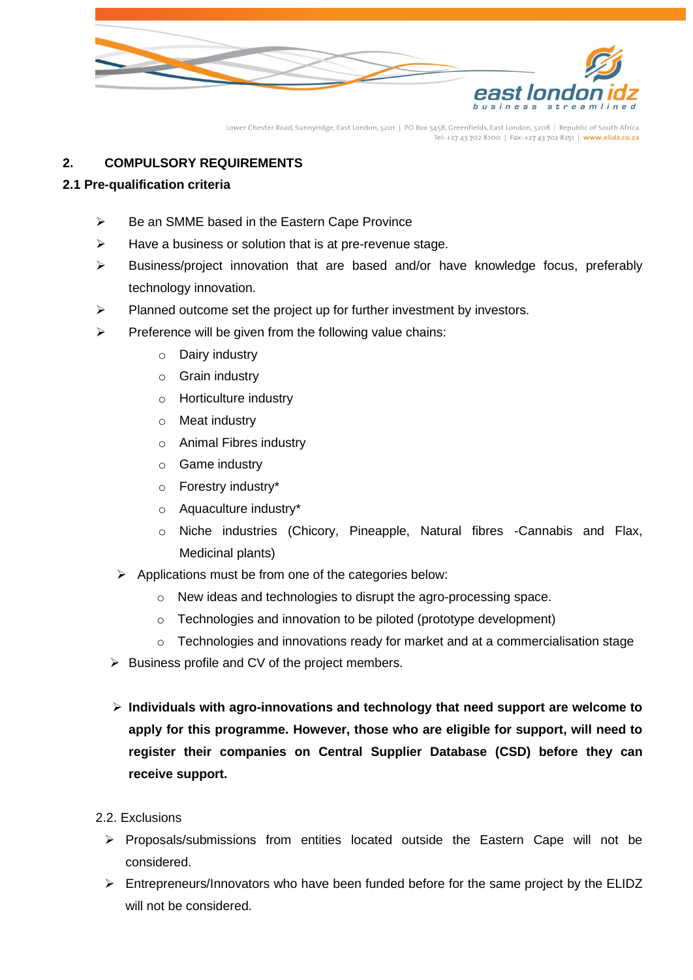

Lower Chester Road, Sunnyridge, East London, 5201 | PO Box 5458, Greenfields, East London, 5208 | Republic of South Africa Tel: +27 43 702 8200 | Fax: +27 43 702 8251 | www.elidz.co.za

## <span id="page-3-0"></span>**2. COMPULSORY REQUIREMENTS**

### **2.1 Pre-qualification criteria**

- ➢ Be an SMME based in the Eastern Cape Province
- $\triangleright$  Have a business or solution that is at pre-revenue stage.
- ➢ Business/project innovation that are based and/or have knowledge focus, preferably technology innovation.
- ➢ Planned outcome set the project up for further investment by investors.
- $\triangleright$  Preference will be given from the following value chains:
	- o Dairy industry
	- o Grain industry
	- o Horticulture industry
	- o Meat industry
	- o Animal Fibres industry
	- o Game industry
	- o Forestry industry\*
	- o Aquaculture industry\*
	- o Niche industries (Chicory, Pineapple, Natural fibres -Cannabis and Flax, Medicinal plants)
	- ➢ Applications must be from one of the categories below:
		- o New ideas and technologies to disrupt the agro-processing space.
		- o Technologies and innovation to be piloted (prototype development)
		- $\circ$  Technologies and innovations ready for market and at a commercialisation stage
	- ➢ Business profile and CV of the project members.
	- ➢ **Individuals with agro-innovations and technology that need support are welcome to apply for this programme. However, those who are eligible for support, will need to register their companies on Central Supplier Database (CSD) before they can receive support.**
- 2.2. Exclusions
	- ➢ Proposals/submissions from entities located outside the Eastern Cape will not be considered.
	- $\triangleright$  Entrepreneurs/Innovators who have been funded before for the same project by the ELIDZ will not be considered.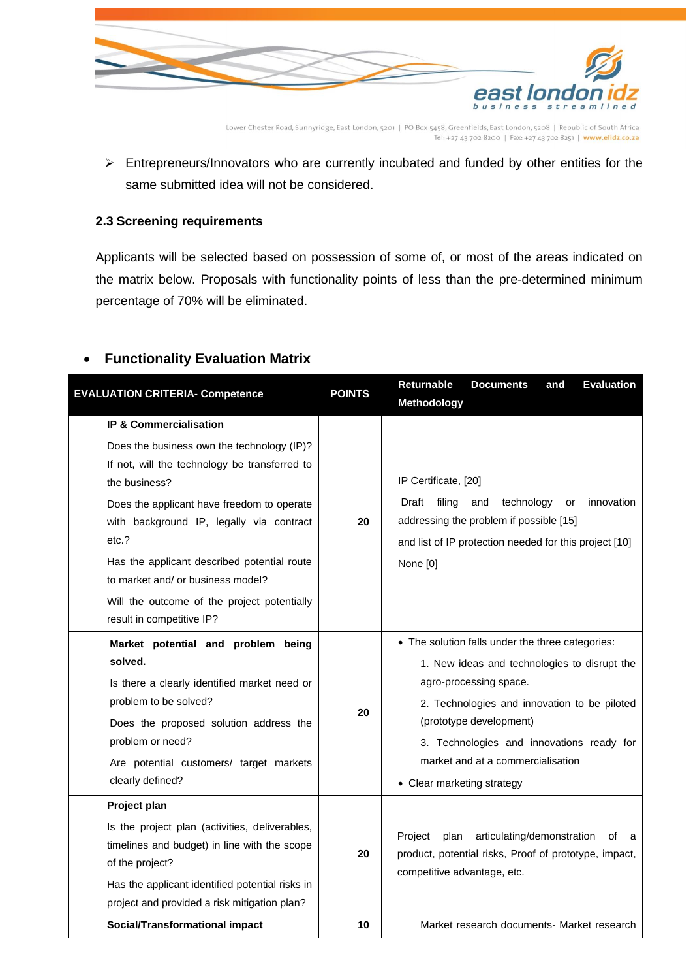

Lower Chester Road, Sunnyridge, East London, 5201 | PO Box 5458, Greenfields, East London, 5208 | Republic of South Africa 

➢ Entrepreneurs/Innovators who are currently incubated and funded by other entities for the same submitted idea will not be considered.

### <span id="page-4-0"></span>**2.3 Screening requirements**

Applicants will be selected based on possession of some of, or most of the areas indicated on the matrix below. Proposals with functionality points of less than the pre-determined minimum percentage of 70% will be eliminated.

## • **Functionality Evaluation Matrix**

| <b>EVALUATION CRITERIA- Competence</b>                                                                                                                                                                                                                                                                                                                                                                               | <b>POINTS</b> | <b>Evaluation</b><br>Returnable<br><b>Documents</b><br>and<br>Methodology                                                                                                                                                                                                                                             |
|----------------------------------------------------------------------------------------------------------------------------------------------------------------------------------------------------------------------------------------------------------------------------------------------------------------------------------------------------------------------------------------------------------------------|---------------|-----------------------------------------------------------------------------------------------------------------------------------------------------------------------------------------------------------------------------------------------------------------------------------------------------------------------|
| <b>IP &amp; Commercialisation</b><br>Does the business own the technology (IP)?<br>If not, will the technology be transferred to<br>the business?<br>Does the applicant have freedom to operate<br>with background IP, legally via contract<br>etc.?<br>Has the applicant described potential route<br>to market and/ or business model?<br>Will the outcome of the project potentially<br>result in competitive IP? | 20            | IP Certificate, [20]<br>Draft filing<br>technology<br>innovation<br>and<br>or<br>addressing the problem if possible [15]<br>and list of IP protection needed for this project [10]<br>None [0]                                                                                                                        |
| Market potential and problem being<br>solved.<br>Is there a clearly identified market need or<br>problem to be solved?<br>Does the proposed solution address the<br>problem or need?<br>Are potential customers/ target markets<br>clearly defined?                                                                                                                                                                  | 20            | • The solution falls under the three categories:<br>1. New ideas and technologies to disrupt the<br>agro-processing space.<br>2. Technologies and innovation to be piloted<br>(prototype development)<br>3. Technologies and innovations ready for<br>market and at a commercialisation<br>• Clear marketing strategy |
| Project plan<br>Is the project plan (activities, deliverables,<br>timelines and budget) in line with the scope<br>of the project?<br>Has the applicant identified potential risks in<br>project and provided a risk mitigation plan?<br><b>Social/Transformational impact</b>                                                                                                                                        | 20<br>10      | articulating/demonstration<br>Project<br>plan<br>of a<br>product, potential risks, Proof of prototype, impact,<br>competitive advantage, etc.<br>Market research documents- Market research                                                                                                                           |
|                                                                                                                                                                                                                                                                                                                                                                                                                      |               |                                                                                                                                                                                                                                                                                                                       |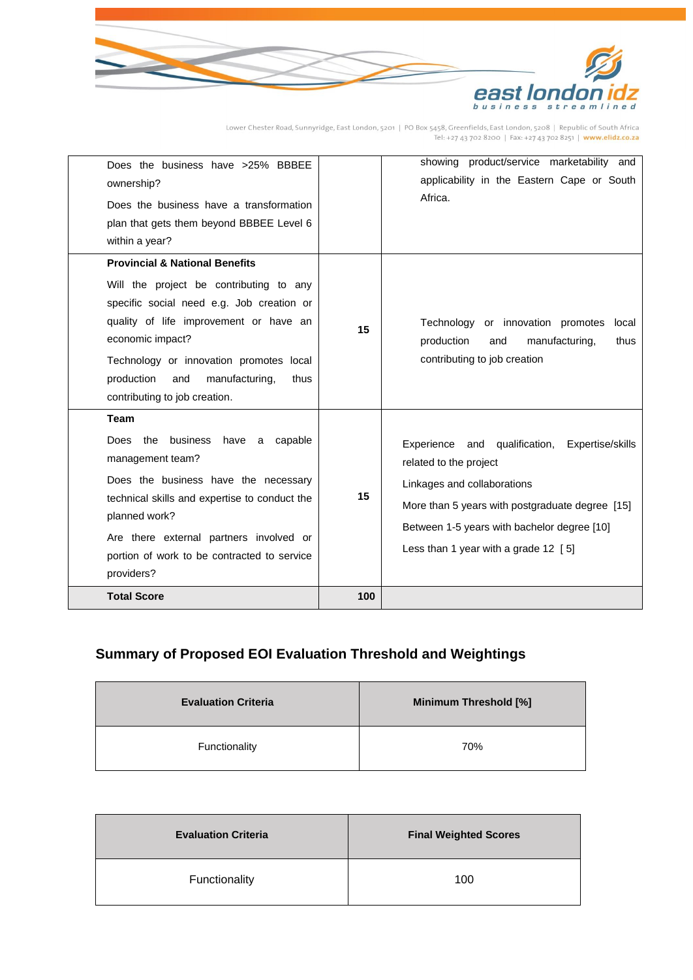

Lower Chester Road, Sunnyridge, East London, 5201 | PO Box 5458, Greenfields, East London, 5208 | Republic of South Africa<br>Tel: +27 43 702 8200 | Fax: +27 43 702 8251 | www.elidz.co.za

| Does the business have >25% BBBEE<br>ownership?<br>Does the business have a transformation<br>plan that gets them beyond BBBEE Level 6<br>within a year?                                                                                                                                                                   |     | showing product/service marketability and<br>applicability in the Eastern Cape or South<br>Africa.                                                                                                                                                     |
|----------------------------------------------------------------------------------------------------------------------------------------------------------------------------------------------------------------------------------------------------------------------------------------------------------------------------|-----|--------------------------------------------------------------------------------------------------------------------------------------------------------------------------------------------------------------------------------------------------------|
| <b>Provincial &amp; National Benefits</b><br>Will the project be contributing to any<br>specific social need e.g. Job creation or<br>quality of life improvement or have an<br>economic impact?<br>Technology or innovation promotes local<br>production<br>and<br>manufacturing,<br>thus<br>contributing to job creation. | 15  | Technology or innovation promotes<br>local<br>production<br>and<br>manufacturing.<br>thus<br>contributing to job creation                                                                                                                              |
| <b>Team</b><br>Does the<br>business<br>have a capable<br>management team?<br>Does the business have the necessary<br>technical skills and expertise to conduct the<br>planned work?<br>Are there external partners involved or<br>portion of work to be contracted to service<br>providers?                                | 15  | Experience and qualification, Expertise/skills<br>related to the project<br>Linkages and collaborations<br>More than 5 years with postgraduate degree [15]<br>Between 1-5 years with bachelor degree [10]<br>Less than 1 year with a grade $12 \,$ [5] |
| <b>Total Score</b>                                                                                                                                                                                                                                                                                                         | 100 |                                                                                                                                                                                                                                                        |

# **Summary of Proposed EOI Evaluation Threshold and Weightings**

| <b>Evaluation Criteria</b> | Minimum Threshold [%] |
|----------------------------|-----------------------|
| Functionality              | 70%                   |

| <b>Evaluation Criteria</b> | <b>Final Weighted Scores</b> |
|----------------------------|------------------------------|
| Functionality              | 100                          |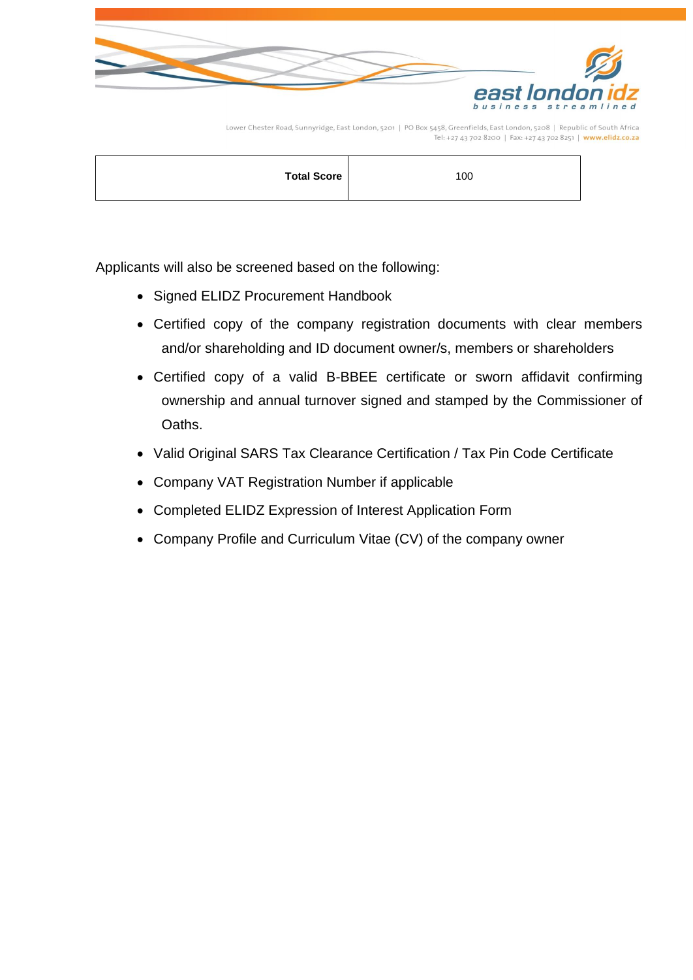

Lower Chester Road, Sunnyridge, East London, 5201 | PO Box 5458, Greenfields, East London, 5208 | Republic of South Africa 

|--|

Applicants will also be screened based on the following:

- Signed ELIDZ Procurement Handbook
- Certified copy of the company registration documents with clear members and/or shareholding and ID document owner/s, members or shareholders
- Certified copy of a valid B-BBEE certificate or sworn affidavit confirming ownership and annual turnover signed and stamped by the Commissioner of Oaths.
- Valid Original SARS Tax Clearance Certification / Tax Pin Code Certificate
- Company VAT Registration Number if applicable
- Completed ELIDZ Expression of Interest Application Form
- Company Profile and Curriculum Vitae (CV) of the company owner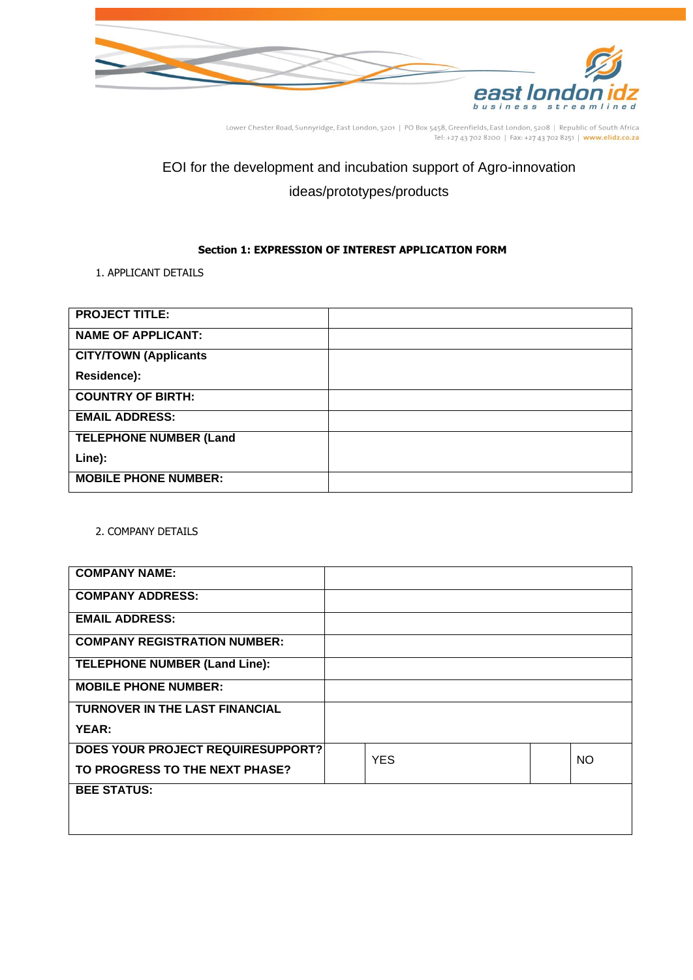

Lower Chester Road, Sunnyridge, East London, 5201 | PO Box 5458, Greenfields, East London, 5208 | Republic of South Africa<br>Tel: +27 43 702 8200 | Fax: +27 43 702 8251 | www.elidz.co.za

# EOI for the development and incubation support of Agro-innovation ideas/prototypes/products

### **Section 1: EXPRESSION OF INTEREST APPLICATION FORM**

### <span id="page-7-0"></span>1. APPLICANT DETAILS

| <b>PROJECT TITLE:</b>         |  |
|-------------------------------|--|
| <b>NAME OF APPLICANT:</b>     |  |
| <b>CITY/TOWN (Applicants</b>  |  |
| Residence):                   |  |
| <b>COUNTRY OF BIRTH:</b>      |  |
| <b>EMAIL ADDRESS:</b>         |  |
| <b>TELEPHONE NUMBER (Land</b> |  |
| Line):                        |  |
| <b>MOBILE PHONE NUMBER:</b>   |  |

### 2. COMPANY DETAILS

| <b>COMPANY NAME:</b>                  |            |           |
|---------------------------------------|------------|-----------|
| <b>COMPANY ADDRESS:</b>               |            |           |
| <b>EMAIL ADDRESS:</b>                 |            |           |
| <b>COMPANY REGISTRATION NUMBER:</b>   |            |           |
| <b>TELEPHONE NUMBER (Land Line):</b>  |            |           |
| <b>MOBILE PHONE NUMBER:</b>           |            |           |
| <b>TURNOVER IN THE LAST FINANCIAL</b> |            |           |
| YEAR:                                 |            |           |
| DOES YOUR PROJECT REQUIRESUPPORT?     | <b>YES</b> | <b>NO</b> |
| TO PROGRESS TO THE NEXT PHASE?        |            |           |
| <b>BEE STATUS:</b>                    |            |           |
|                                       |            |           |
|                                       |            |           |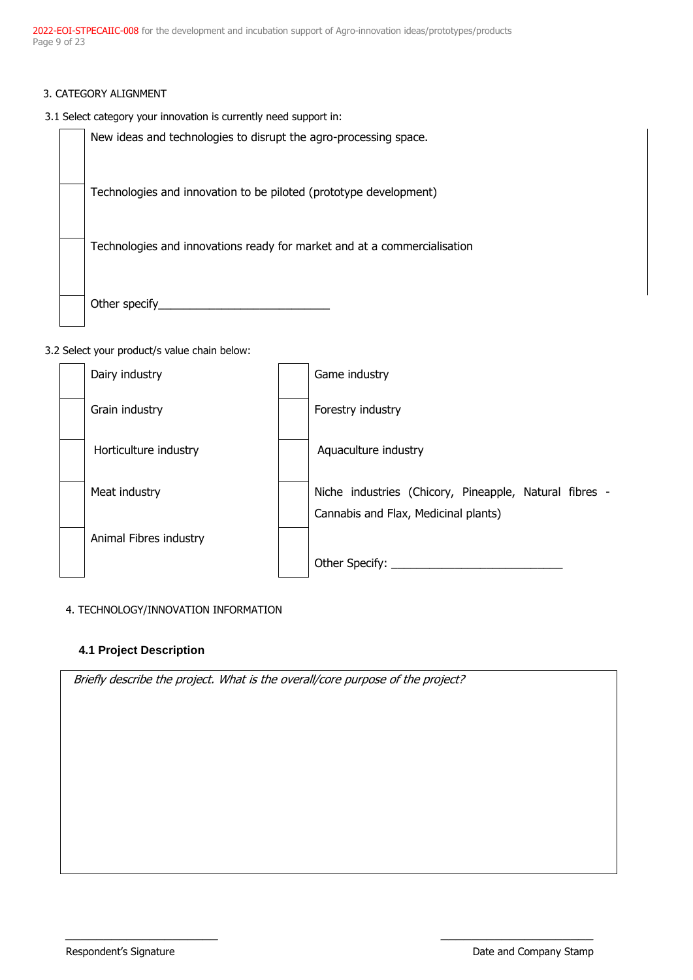2022-EOI-STPECAIIC-008 for the development and incubation support of Agro-innovation ideas/prototypes/products Page 9 of 23

- 3. CATEGORY ALIGNMENT
- 3.1 Select category your innovation is currently need support in:

New ideas and technologies to disrupt the agro-processing space. Technologies and innovation to be piloted (prototype development) Technologies and innovations ready for market and at a commercialisation Other specify\_\_\_\_\_\_\_\_\_\_\_\_\_\_\_\_\_\_\_\_\_\_\_\_\_\_\_

3.2 Select your product/s value chain below:

| Dairy industry         | Game industry                                                                                  |
|------------------------|------------------------------------------------------------------------------------------------|
| Grain industry         | Forestry industry                                                                              |
| Horticulture industry  | Aquaculture industry                                                                           |
| Meat industry          | Niche industries (Chicory, Pineapple, Natural fibres -<br>Cannabis and Flax, Medicinal plants) |
| Animal Fibres industry | Other Specify:                                                                                 |

 $\_$ 

### 4. TECHNOLOGY/INNOVATION INFORMATION

### **4.1 Project Description**

Briefly describe the project. What is the overall/core purpose of the project?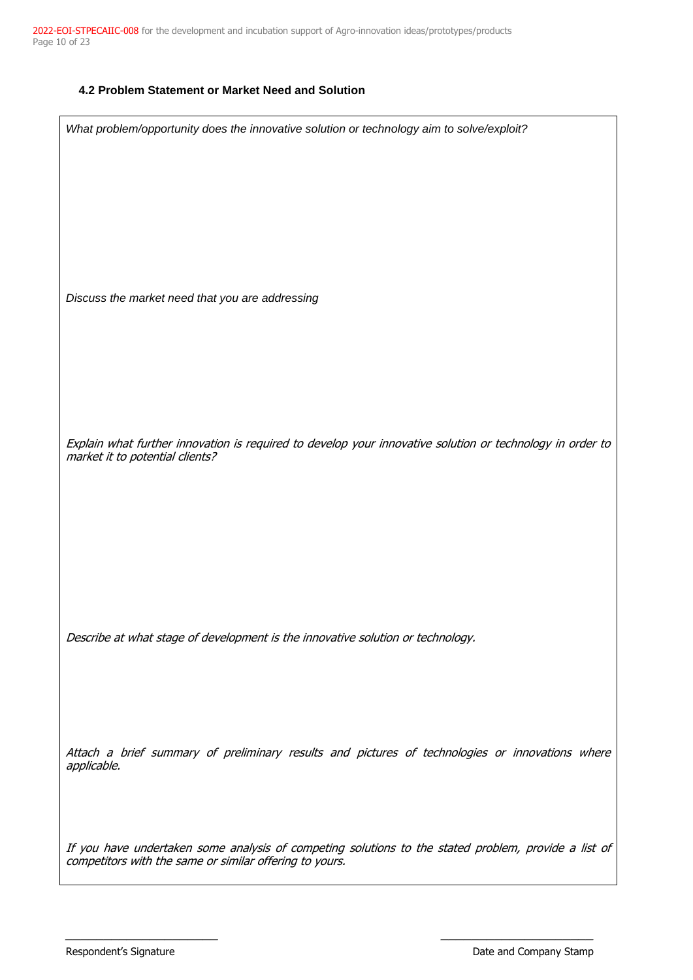### **4.2 Problem Statement or Market Need and Solution**

| What problem/opportunity does the innovative solution or technology aim to solve/exploit?                                                                       |
|-----------------------------------------------------------------------------------------------------------------------------------------------------------------|
|                                                                                                                                                                 |
|                                                                                                                                                                 |
|                                                                                                                                                                 |
|                                                                                                                                                                 |
|                                                                                                                                                                 |
|                                                                                                                                                                 |
|                                                                                                                                                                 |
|                                                                                                                                                                 |
|                                                                                                                                                                 |
| Discuss the market need that you are addressing                                                                                                                 |
|                                                                                                                                                                 |
|                                                                                                                                                                 |
|                                                                                                                                                                 |
|                                                                                                                                                                 |
|                                                                                                                                                                 |
|                                                                                                                                                                 |
|                                                                                                                                                                 |
|                                                                                                                                                                 |
|                                                                                                                                                                 |
| Explain what further innovation is required to develop your innovative solution or technology in order to<br>market it to potential clients?                    |
|                                                                                                                                                                 |
|                                                                                                                                                                 |
|                                                                                                                                                                 |
|                                                                                                                                                                 |
|                                                                                                                                                                 |
|                                                                                                                                                                 |
|                                                                                                                                                                 |
|                                                                                                                                                                 |
|                                                                                                                                                                 |
|                                                                                                                                                                 |
|                                                                                                                                                                 |
| Describe at what stage of development is the innovative solution or technology.                                                                                 |
|                                                                                                                                                                 |
|                                                                                                                                                                 |
|                                                                                                                                                                 |
|                                                                                                                                                                 |
|                                                                                                                                                                 |
|                                                                                                                                                                 |
| Attach a brief summary of preliminary results and pictures of technologies or innovations where                                                                 |
| applicable.                                                                                                                                                     |
|                                                                                                                                                                 |
|                                                                                                                                                                 |
|                                                                                                                                                                 |
|                                                                                                                                                                 |
|                                                                                                                                                                 |
| If you have undertaken some analysis of competing solutions to the stated problem, provide a list of<br>competitors with the same or similar offering to yours. |
|                                                                                                                                                                 |
|                                                                                                                                                                 |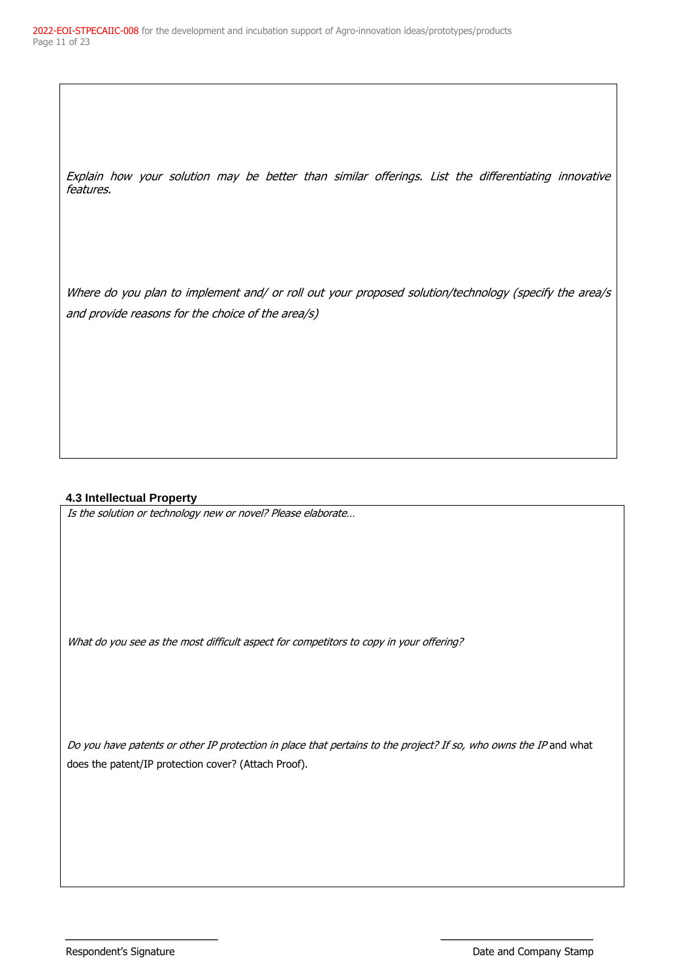Explain how your solution may be better than similar offerings. List the differentiating innovative features.

Where do you plan to implement and/ or roll out your proposed solution/technology (specify the area/s and provide reasons for the choice of the area/s)

### **4.3 Intellectual Property**

Is the solution or technology new or novel? Please elaborate…

What do you see as the most difficult aspect for competitors to copy in your offering?

Do you have patents or other IP protection in place that pertains to the project? If so, who owns the IP and what does the patent/IP protection cover? (Attach Proof).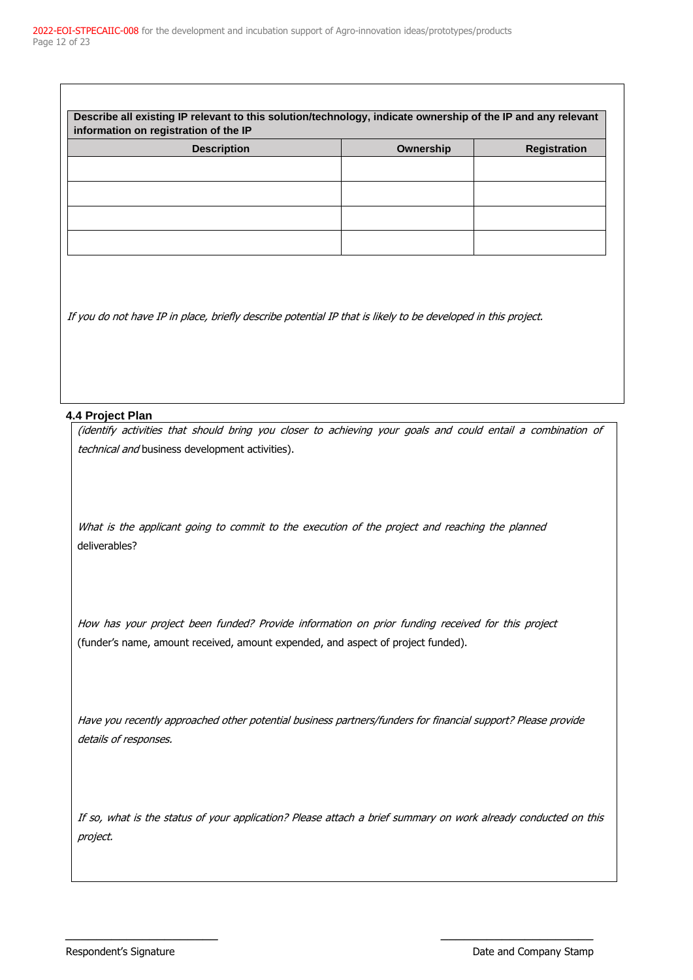| Describe all existing IP relevant to this solution/technology, indicate ownership of the IP and any relevant<br>information on registration of the IP |           |                     |  |  |
|-------------------------------------------------------------------------------------------------------------------------------------------------------|-----------|---------------------|--|--|
| <b>Description</b>                                                                                                                                    | Ownership | <b>Registration</b> |  |  |
|                                                                                                                                                       |           |                     |  |  |
|                                                                                                                                                       |           |                     |  |  |
|                                                                                                                                                       |           |                     |  |  |
|                                                                                                                                                       |           |                     |  |  |
|                                                                                                                                                       |           |                     |  |  |

If you do not have IP in place, briefly describe potential IP that is likely to be developed in this project.

#### **4.4 Project Plan**

(identify activities that should bring you closer to achieving your goals and could entail a combination of technical and business development activities).

What is the applicant going to commit to the execution of the project and reaching the planned deliverables?

How has your project been funded? Provide information on prior funding received for this project (funder's name, amount received, amount expended, and aspect of project funded).

Have you recently approached other potential business partners/funders for financial support? Please provide details of responses.

If so, what is the status of your application? Please attach a brief summary on work already conducted on this project.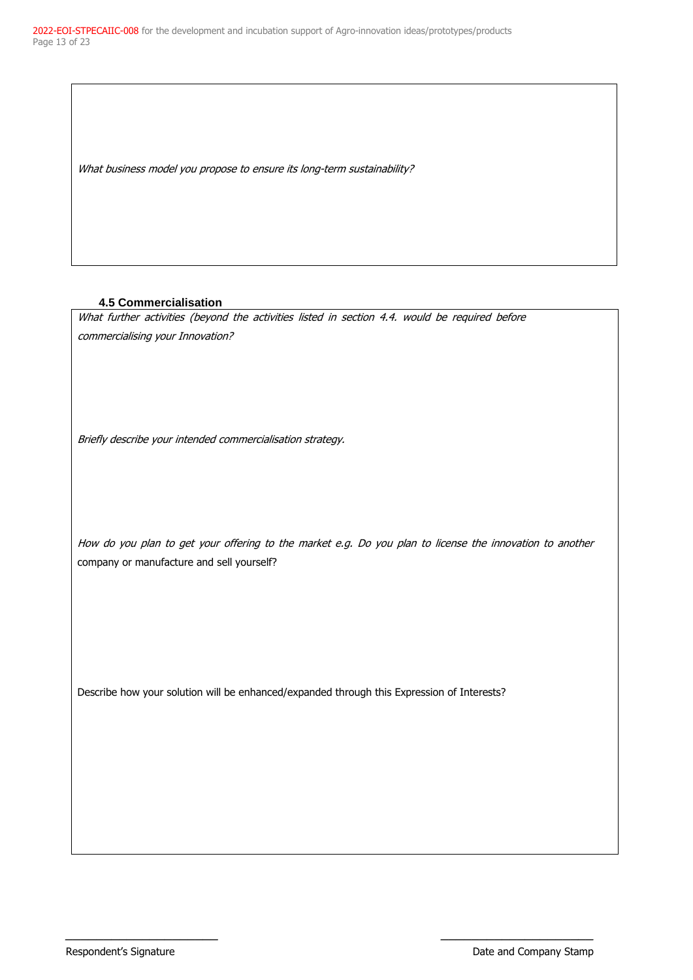What business model you propose to ensure its long-term sustainability?

### **4.5 Commercialisation**

What further activities (beyond the activities listed in section 4.4. would be required before commercialising your Innovation?

Briefly describe your intended commercialisation strategy.

How do you plan to get your offering to the market e.g. Do you plan to license the innovation to another company or manufacture and sell yourself?

 $\_$ 

Describe how your solution will be enhanced/expanded through this Expression of Interests?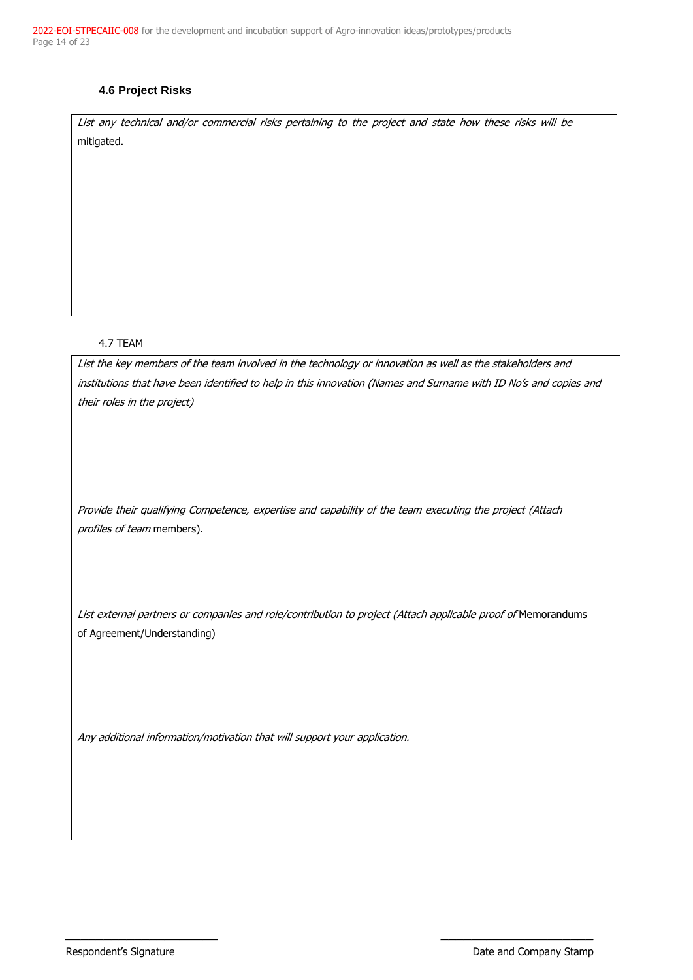2022-EOI-STPECAIIC-008 for the development and incubation support of Agro-innovation ideas/prototypes/products Page 14 of 23

### **4.6 Project Risks**

List any technical and/or commercial risks pertaining to the project and state how these risks will be mitigated.

#### 4.7 TEAM

List the key members of the team involved in the technology or innovation as well as the stakeholders and institutions that have been identified to help in this innovation (Names and Surname with ID No's and copies and their roles in the project)

Provide their qualifying Competence, expertise and capability of the team executing the project (Attach profiles of team members).

List external partners or companies and role/contribution to project (Attach applicable proof of Memorandums of Agreement/Understanding)

 $\_$ 

Any additional information/motivation that will support your application.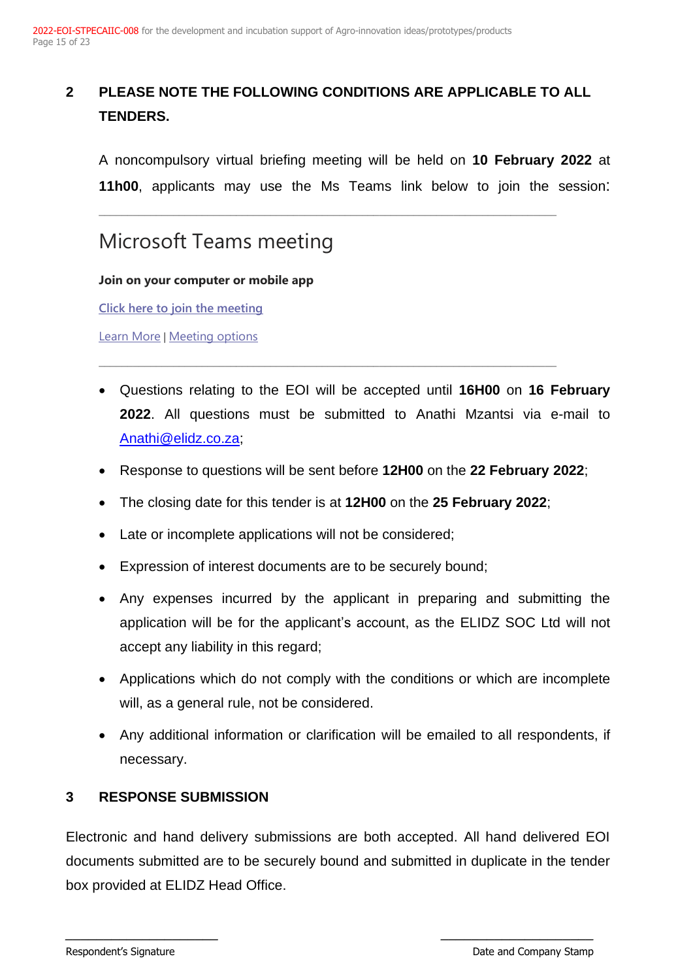# <span id="page-14-0"></span>**2 PLEASE NOTE THE FOLLOWING CONDITIONS ARE APPLICABLE TO ALL TENDERS.**

\_\_\_\_\_\_\_\_\_\_\_\_\_\_\_\_\_\_\_\_\_\_\_\_\_\_\_\_\_\_\_\_\_\_\_\_\_\_\_\_\_\_\_\_\_\_\_\_\_\_\_\_\_\_\_\_\_\_\_\_\_\_\_\_\_\_\_\_\_\_\_\_\_\_\_\_\_\_\_\_

A noncompulsory virtual briefing meeting will be held on **10 February 2022** at **11h00**, applicants may use the Ms Teams link below to join the session:

# Microsoft Teams meeting

### **Join on your computer or mobile app**

**[Click here to join the meeting](https://teams.microsoft.com/l/meetup-join/19%3ameeting_NWQ3MzM4Y2EtZmE1OC00ZjU4LTk4NzYtYzQ5NjQ1YmIyZTk4%40thread.v2/0?context=%7b%22Tid%22%3a%22bd71323e-f0dc-4d06-8e22-af342304bedc%22%2c%22Oid%22%3a%228fe6f956-662e-4f7b-9e6e-68f7522cae12%22%7d)**

[Learn More](https://aka.ms/JoinTeamsMeeting) | [Meeting options](https://teams.microsoft.com/meetingOptions/?organizerId=8fe6f956-662e-4f7b-9e6e-68f7522cae12&tenantId=bd71323e-f0dc-4d06-8e22-af342304bedc&threadId=19_meeting_NWQ3MzM4Y2EtZmE1OC00ZjU4LTk4NzYtYzQ5NjQ1YmIyZTk4@thread.v2&messageId=0&language=en-US)

- Questions relating to the EOI will be accepted until **16H00** on **16 February 2022**. All questions must be submitted to Anathi Mzantsi via e-mail to [Anathi@elidz.co.za;](mailto:zandile@elidz.co.za)
- Response to questions will be sent before **12H00** on the **22 February 2022**;
- The closing date for this tender is at **12H00** on the **25 February 2022**;

\_\_\_\_\_\_\_\_\_\_\_\_\_\_\_\_\_\_\_\_\_\_\_\_\_\_\_\_\_\_\_\_\_\_\_\_\_\_\_\_\_\_\_\_\_\_\_\_\_\_\_\_\_\_\_\_\_\_\_\_\_\_\_\_\_\_\_\_\_\_\_\_\_\_\_\_\_\_\_\_

- Late or incomplete applications will not be considered;
- Expression of interest documents are to be securely bound;
- Any expenses incurred by the applicant in preparing and submitting the application will be for the applicant's account, as the ELIDZ SOC Ltd will not accept any liability in this regard;
- Applications which do not comply with the conditions or which are incomplete will, as a general rule, not be considered.
- Any additional information or clarification will be emailed to all respondents, if necessary.

## <span id="page-14-1"></span>**3 RESPONSE SUBMISSION**

Electronic and hand delivery submissions are both accepted. All hand delivered EOI documents submitted are to be securely bound and submitted in duplicate in the tender box provided at ELIDZ Head Office.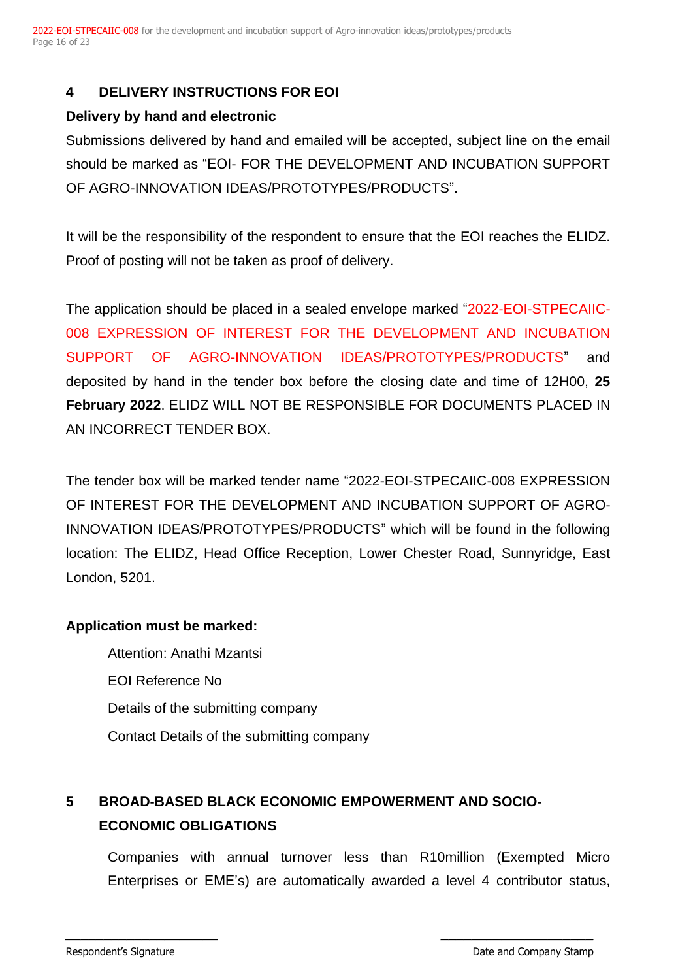# <span id="page-15-0"></span>**4 DELIVERY INSTRUCTIONS FOR EOI**

## **Delivery by hand and electronic**

Submissions delivered by hand and emailed will be accepted, subject line on the email should be marked as "EOI- FOR THE DEVELOPMENT AND INCUBATION SUPPORT OF AGRO-INNOVATION IDEAS/PROTOTYPES/PRODUCTS".

It will be the responsibility of the respondent to ensure that the EOI reaches the ELIDZ. Proof of posting will not be taken as proof of delivery.

The application should be placed in a sealed envelope marked "2022-EOI-STPECAIIC-008 EXPRESSION OF INTEREST FOR THE DEVELOPMENT AND INCUBATION SUPPORT OF AGRO-INNOVATION IDEAS/PROTOTYPES/PRODUCTS" and deposited by hand in the tender box before the closing date and time of 12H00, **25 February 2022**. ELIDZ WILL NOT BE RESPONSIBLE FOR DOCUMENTS PLACED IN AN INCORRECT TENDER BOX.

The tender box will be marked tender name "2022-EOI-STPECAIIC-008 EXPRESSION OF INTEREST FOR THE DEVELOPMENT AND INCUBATION SUPPORT OF AGRO-INNOVATION IDEAS/PROTOTYPES/PRODUCTS" which will be found in the following location: The ELIDZ, Head Office Reception, Lower Chester Road, Sunnyridge, East London, 5201.

## **Application must be marked:**

Attention: Anathi Mzantsi EOI Reference No Details of the submitting company Contact Details of the submitting company

# <span id="page-15-1"></span>**5 BROAD-BASED BLACK ECONOMIC EMPOWERMENT AND SOCIO-ECONOMIC OBLIGATIONS**

Companies with annual turnover less than R10million (Exempted Micro Enterprises or EME's) are automatically awarded a level 4 contributor status,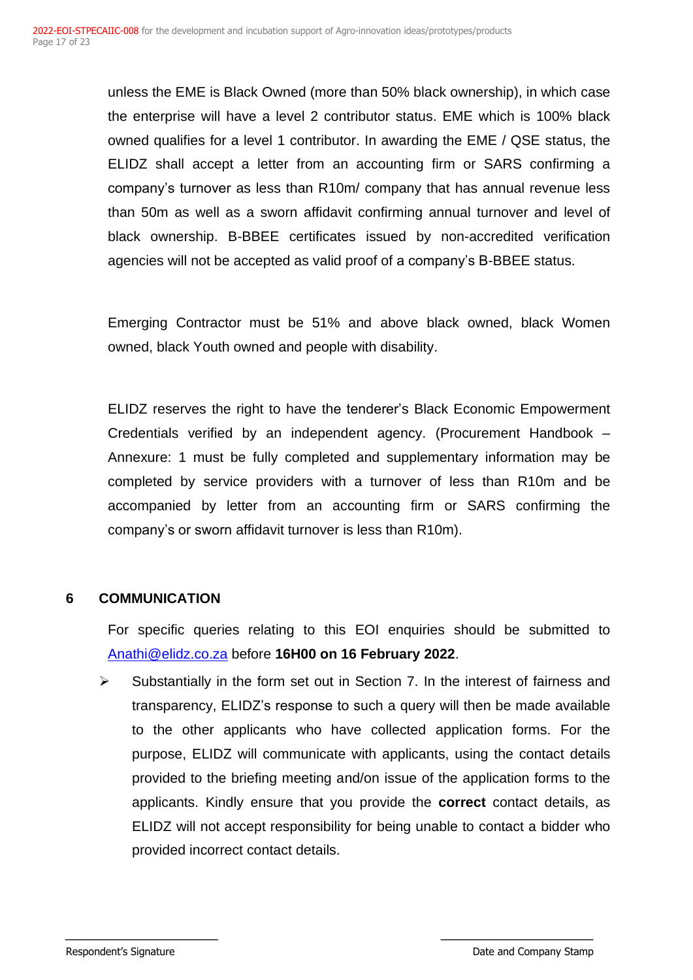unless the EME is Black Owned (more than 50% black ownership), in which case the enterprise will have a level 2 contributor status. EME which is 100% black owned qualifies for a level 1 contributor. In awarding the EME / QSE status, the ELIDZ shall accept a letter from an accounting firm or SARS confirming a company's turnover as less than R10m/ company that has annual revenue less than 50m as well as a sworn affidavit confirming annual turnover and level of black ownership. B-BBEE certificates issued by non-accredited verification agencies will not be accepted as valid proof of a company's B-BBEE status.

Emerging Contractor must be 51% and above black owned, black Women owned, black Youth owned and people with disability.

ELIDZ reserves the right to have the tenderer's Black Economic Empowerment Credentials verified by an independent agency. (Procurement Handbook – Annexure: 1 must be fully completed and supplementary information may be completed by service providers with a turnover of less than R10m and be accompanied by letter from an accounting firm or SARS confirming the company's or sworn affidavit turnover is less than R10m).

## <span id="page-16-0"></span>**6 COMMUNICATION**

For specific queries relating to this EOI enquiries should be submitted to [Anathi@elidz.co.za](mailto:zandile@elidz.co.za) before **16H00 on 16 February 2022**.

Substantially in the form set out in Section 7. In the interest of fairness and transparency, ELIDZ's response to such a query will then be made available to the other applicants who have collected application forms. For the purpose, ELIDZ will communicate with applicants, using the contact details provided to the briefing meeting and/on issue of the application forms to the applicants. Kindly ensure that you provide the **correct** contact details, as ELIDZ will not accept responsibility for being unable to contact a bidder who provided incorrect contact details.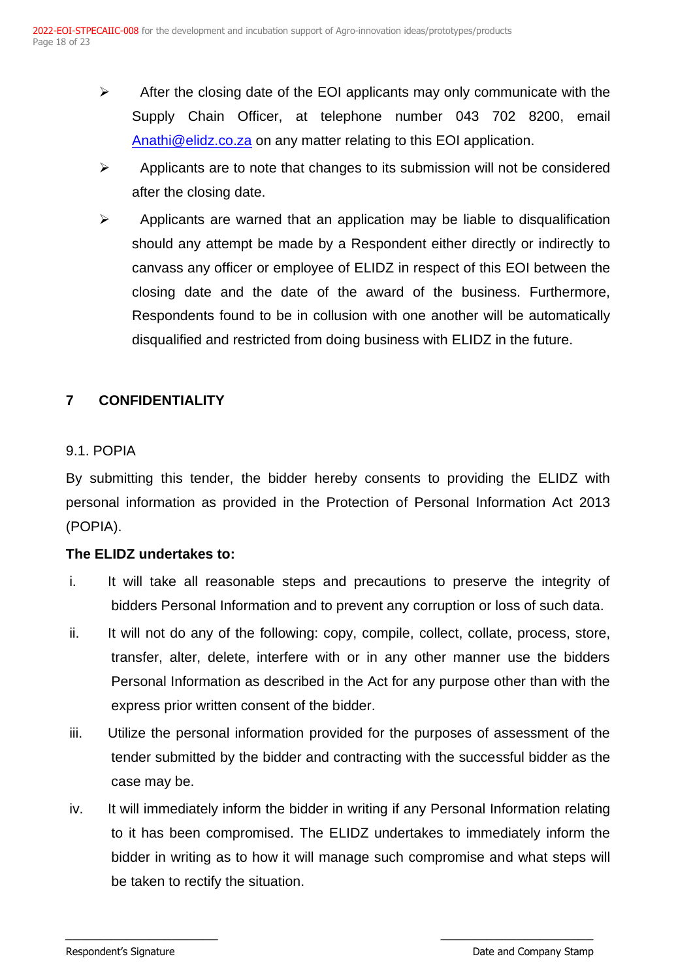- $\triangleright$  After the closing date of the EOI applicants may only communicate with the Supply Chain Officer, at telephone number 043 702 8200, email [Anathi@elidz.co.za](mailto:zandile@elidz.co.za) on any matter relating to this EOI application.
- $\triangleright$  Applicants are to note that changes to its submission will not be considered after the closing date.
- $\triangleright$  Applicants are warned that an application may be liable to disqualification should any attempt be made by a Respondent either directly or indirectly to canvass any officer or employee of ELIDZ in respect of this EOI between the closing date and the date of the award of the business. Furthermore, Respondents found to be in collusion with one another will be automatically disqualified and restricted from doing business with ELIDZ in the future.

# <span id="page-17-0"></span>**7 CONFIDENTIALITY**

## 9.1. POPIA

By submitting this tender, the bidder hereby consents to providing the ELIDZ with personal information as provided in the Protection of Personal Information Act 2013 (POPIA).

## **The ELIDZ undertakes to:**

- i. It will take all reasonable steps and precautions to preserve the integrity of bidders Personal Information and to prevent any corruption or loss of such data.
- ii. It will not do any of the following: copy, compile, collect, collate, process, store, transfer, alter, delete, interfere with or in any other manner use the bidders Personal Information as described in the Act for any purpose other than with the express prior written consent of the bidder.
- iii. Utilize the personal information provided for the purposes of assessment of the tender submitted by the bidder and contracting with the successful bidder as the case may be.
- iv. It will immediately inform the bidder in writing if any Personal Information relating to it has been compromised. The ELIDZ undertakes to immediately inform the bidder in writing as to how it will manage such compromise and what steps will be taken to rectify the situation.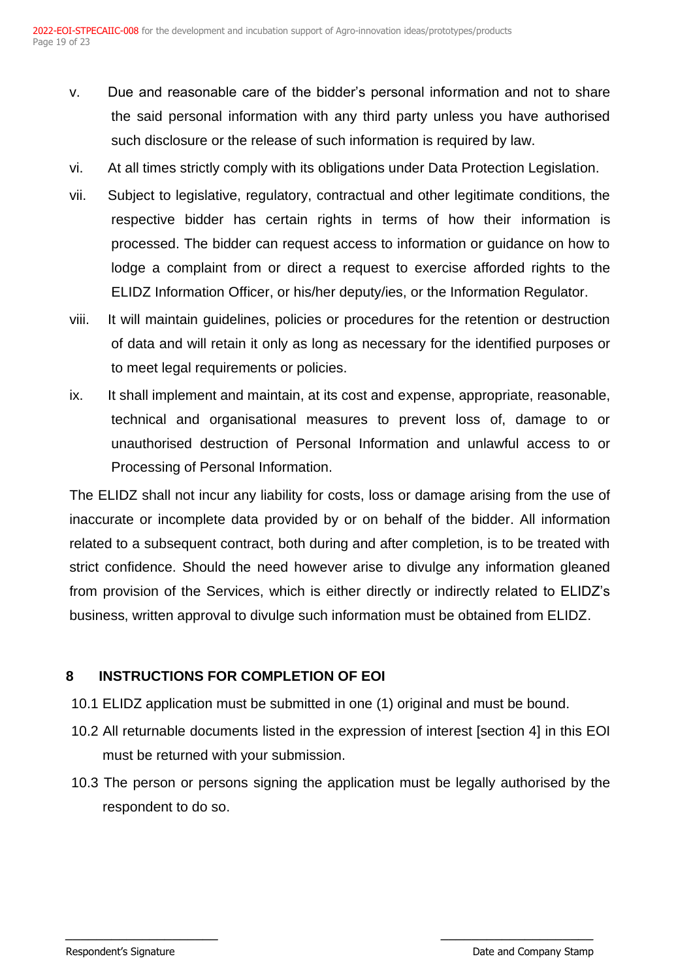- v. Due and reasonable care of the bidder's personal information and not to share the said personal information with any third party unless you have authorised such disclosure or the release of such information is required by law.
- vi. At all times strictly comply with its obligations under Data Protection Legislation.
- vii. Subject to legislative, regulatory, contractual and other legitimate conditions, the respective bidder has certain rights in terms of how their information is processed. The bidder can request access to information or guidance on how to lodge a complaint from or direct a request to exercise afforded rights to the ELIDZ Information Officer, or his/her deputy/ies, or the Information Regulator.
- viii. It will maintain guidelines, policies or procedures for the retention or destruction of data and will retain it only as long as necessary for the identified purposes or to meet legal requirements or policies.
- ix. It shall implement and maintain, at its cost and expense, appropriate, reasonable, technical and organisational measures to prevent loss of, damage to or unauthorised destruction of Personal Information and unlawful access to or Processing of Personal Information.

The ELIDZ shall not incur any liability for costs, loss or damage arising from the use of inaccurate or incomplete data provided by or on behalf of the bidder. All information related to a subsequent contract, both during and after completion, is to be treated with strict confidence. Should the need however arise to divulge any information gleaned from provision of the Services, which is either directly or indirectly related to ELIDZ's business, written approval to divulge such information must be obtained from ELIDZ.

# <span id="page-18-0"></span>**8 INSTRUCTIONS FOR COMPLETION OF EOI**

- 10.1 ELIDZ application must be submitted in one (1) original and must be bound.
- 10.2 All returnable documents listed in the expression of interest [section 4] in this EOI must be returned with your submission.
- 10.3 The person or persons signing the application must be legally authorised by the respondent to do so.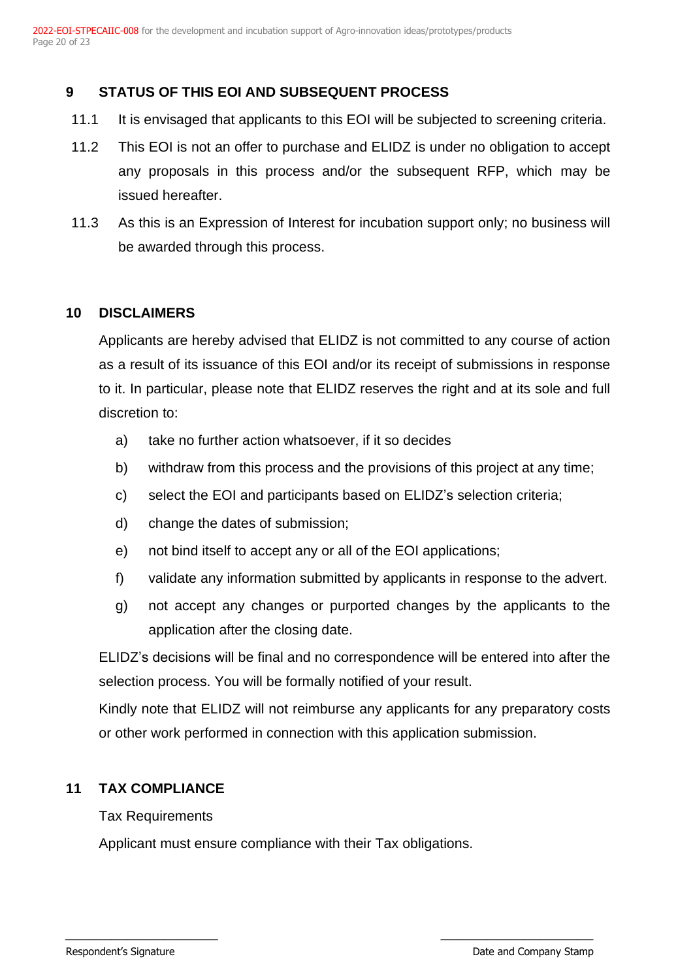# <span id="page-19-0"></span>**9 STATUS OF THIS EOI AND SUBSEQUENT PROCESS**

- 11.1 It is envisaged that applicants to this EOI will be subjected to screening criteria.
- 11.2 This EOI is not an offer to purchase and ELIDZ is under no obligation to accept any proposals in this process and/or the subsequent RFP, which may be issued hereafter.
- 11.3 As this is an Expression of Interest for incubation support only; no business will be awarded through this process.

## <span id="page-19-1"></span>**10 DISCLAIMERS**

Applicants are hereby advised that ELIDZ is not committed to any course of action as a result of its issuance of this EOI and/or its receipt of submissions in response to it. In particular, please note that ELIDZ reserves the right and at its sole and full discretion to:

- a) take no further action whatsoever, if it so decides
- b) withdraw from this process and the provisions of this project at any time;
- c) select the EOI and participants based on ELIDZ's selection criteria;
- d) change the dates of submission;
- e) not bind itself to accept any or all of the EOI applications;
- f) validate any information submitted by applicants in response to the advert.
- g) not accept any changes or purported changes by the applicants to the application after the closing date.

ELIDZ's decisions will be final and no correspondence will be entered into after the selection process. You will be formally notified of your result.

Kindly note that ELIDZ will not reimburse any applicants for any preparatory costs or other work performed in connection with this application submission.

## <span id="page-19-2"></span>**11 TAX COMPLIANCE**

## Tax Requirements

Applicant must ensure compliance with their Tax obligations.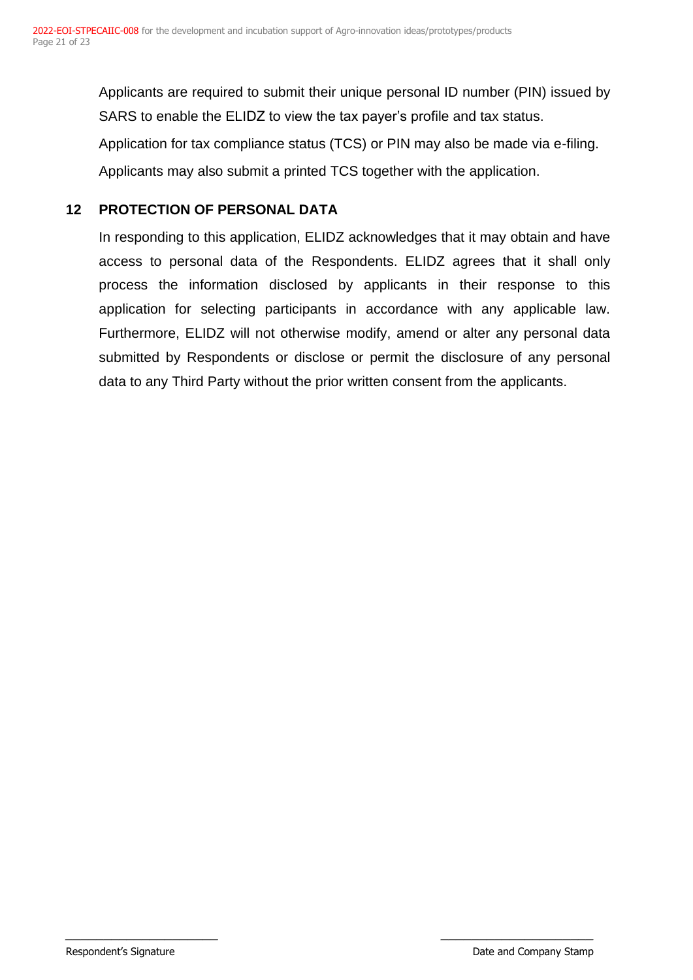Applicants are required to submit their unique personal ID number (PIN) issued by SARS to enable the ELIDZ to view the tax payer's profile and tax status.

Application for tax compliance status (TCS) or PIN may also be made via e-filing.

Applicants may also submit a printed TCS together with the application.

## <span id="page-20-0"></span>**12 PROTECTION OF PERSONAL DATA**

In responding to this application, ELIDZ acknowledges that it may obtain and have access to personal data of the Respondents. ELIDZ agrees that it shall only process the information disclosed by applicants in their response to this application for selecting participants in accordance with any applicable law. Furthermore, ELIDZ will not otherwise modify, amend or alter any personal data submitted by Respondents or disclose or permit the disclosure of any personal data to any Third Party without the prior written consent from the applicants.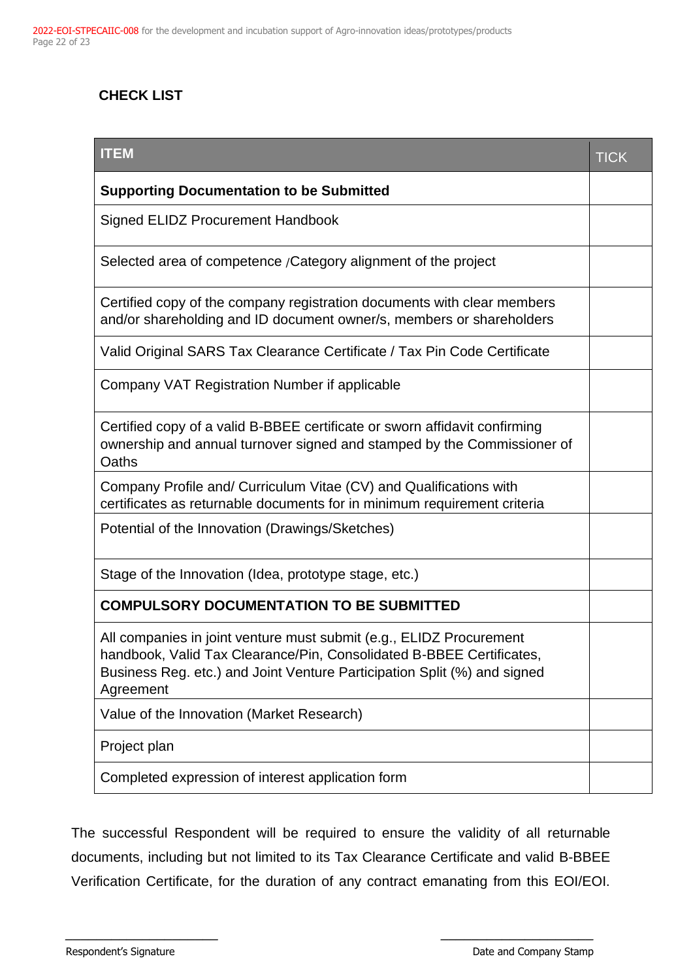# **CHECK LIST**

| <b>ITEM</b>                                                                                                                                                                                                                          | <b>TICK</b> |
|--------------------------------------------------------------------------------------------------------------------------------------------------------------------------------------------------------------------------------------|-------------|
| <b>Supporting Documentation to be Submitted</b>                                                                                                                                                                                      |             |
| Signed ELIDZ Procurement Handbook                                                                                                                                                                                                    |             |
| Selected area of competence / Category alignment of the project                                                                                                                                                                      |             |
| Certified copy of the company registration documents with clear members<br>and/or shareholding and ID document owner/s, members or shareholders                                                                                      |             |
| Valid Original SARS Tax Clearance Certificate / Tax Pin Code Certificate                                                                                                                                                             |             |
| Company VAT Registration Number if applicable                                                                                                                                                                                        |             |
| Certified copy of a valid B-BBEE certificate or sworn affidavit confirming<br>ownership and annual turnover signed and stamped by the Commissioner of<br>Oaths                                                                       |             |
| Company Profile and/ Curriculum Vitae (CV) and Qualifications with<br>certificates as returnable documents for in minimum requirement criteria                                                                                       |             |
| Potential of the Innovation (Drawings/Sketches)                                                                                                                                                                                      |             |
| Stage of the Innovation (Idea, prototype stage, etc.)                                                                                                                                                                                |             |
| <b>COMPULSORY DOCUMENTATION TO BE SUBMITTED</b>                                                                                                                                                                                      |             |
| All companies in joint venture must submit (e.g., ELIDZ Procurement<br>handbook, Valid Tax Clearance/Pin, Consolidated B-BBEE Certificates,<br>Business Reg. etc.) and Joint Venture Participation Split (%) and signed<br>Agreement |             |
| Value of the Innovation (Market Research)                                                                                                                                                                                            |             |
| Project plan                                                                                                                                                                                                                         |             |
| Completed expression of interest application form                                                                                                                                                                                    |             |

The successful Respondent will be required to ensure the validity of all returnable documents, including but not limited to its Tax Clearance Certificate and valid B-BBEE Verification Certificate, for the duration of any contract emanating from this EOI/EOI.